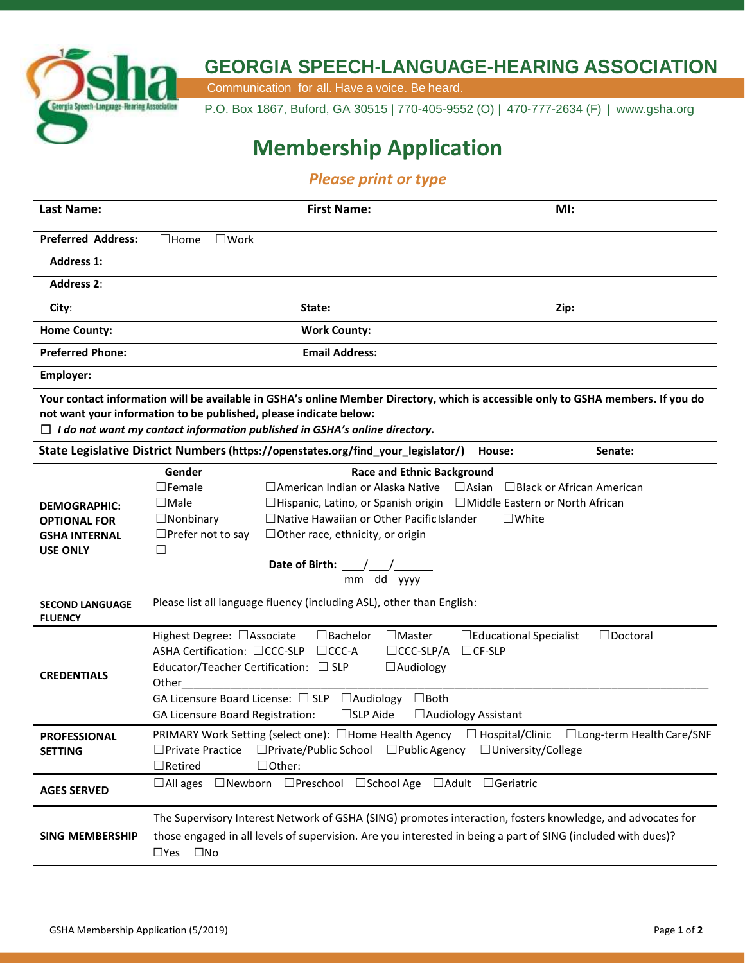

## **GEORGIA SPEECH-LANGUAGE-HEARING ASSOCIATION**

Communication for all. Have a voice. Be heard.

P.O. Box 1867, Buford, GA 30515 | 770-405-9552 (O) | 470-777-2634 (F) | [www.gsha.org](http://www.gsha.org/)

## **Membership Application**

## *Please print or type*

| <b>Last Name:</b>                                                                                                                                                                                                                                                                           |                                                                                                                                                                                                                                                                                                                                                                                                                             | <b>First Name:</b>                                                                                                                                                                                                                                                                                                                                                  | MI:             |         |
|---------------------------------------------------------------------------------------------------------------------------------------------------------------------------------------------------------------------------------------------------------------------------------------------|-----------------------------------------------------------------------------------------------------------------------------------------------------------------------------------------------------------------------------------------------------------------------------------------------------------------------------------------------------------------------------------------------------------------------------|---------------------------------------------------------------------------------------------------------------------------------------------------------------------------------------------------------------------------------------------------------------------------------------------------------------------------------------------------------------------|-----------------|---------|
| <b>Preferred Address:</b>                                                                                                                                                                                                                                                                   | $\Box$ Home<br>$\square$ Work                                                                                                                                                                                                                                                                                                                                                                                               |                                                                                                                                                                                                                                                                                                                                                                     |                 |         |
| <b>Address 1:</b>                                                                                                                                                                                                                                                                           |                                                                                                                                                                                                                                                                                                                                                                                                                             |                                                                                                                                                                                                                                                                                                                                                                     |                 |         |
| <b>Address 2:</b>                                                                                                                                                                                                                                                                           |                                                                                                                                                                                                                                                                                                                                                                                                                             |                                                                                                                                                                                                                                                                                                                                                                     |                 |         |
| City:                                                                                                                                                                                                                                                                                       | State:                                                                                                                                                                                                                                                                                                                                                                                                                      |                                                                                                                                                                                                                                                                                                                                                                     | Zip:            |         |
| <b>Home County:</b>                                                                                                                                                                                                                                                                         | <b>Work County:</b>                                                                                                                                                                                                                                                                                                                                                                                                         |                                                                                                                                                                                                                                                                                                                                                                     |                 |         |
| <b>Preferred Phone:</b>                                                                                                                                                                                                                                                                     | <b>Email Address:</b>                                                                                                                                                                                                                                                                                                                                                                                                       |                                                                                                                                                                                                                                                                                                                                                                     |                 |         |
| Employer:                                                                                                                                                                                                                                                                                   |                                                                                                                                                                                                                                                                                                                                                                                                                             |                                                                                                                                                                                                                                                                                                                                                                     |                 |         |
| Your contact information will be available in GSHA's online Member Directory, which is accessible only to GSHA members. If you do<br>not want your information to be published, please indicate below:<br>$\Box$ I do not want my contact information published in GSHA's online directory. |                                                                                                                                                                                                                                                                                                                                                                                                                             |                                                                                                                                                                                                                                                                                                                                                                     |                 |         |
|                                                                                                                                                                                                                                                                                             |                                                                                                                                                                                                                                                                                                                                                                                                                             | State Legislative District Numbers (https://openstates.org/find_your_legislator/)                                                                                                                                                                                                                                                                                   | House:          | Senate: |
| <b>DEMOGRAPHIC:</b><br><b>OPTIONAL FOR</b><br><b>GSHA INTERNAL</b><br><b>USE ONLY</b>                                                                                                                                                                                                       | Gender<br>$\Box$ Female<br>$\Box$ Male<br>$\Box$ Nonbinary<br>$\Box$ Prefer not to say<br>$\Box$                                                                                                                                                                                                                                                                                                                            | <b>Race and Ethnic Background</b><br>$\Box$ American Indian or Alaska Native $\Box$ Asian $\Box$ Black or African American<br>□Hispanic, Latino, or Spanish origin □Middle Eastern or North African<br>$\Box$ Native Hawaiian or Other Pacific Islander<br>$\Box$ Other race, ethnicity, or origin<br>Date of Birth: $\frac{1}{\sqrt{1-\frac{1}{2}}}$<br>mm dd yyyy | $\square$ White |         |
| <b>SECOND LANGUAGE</b><br><b>FLUENCY</b>                                                                                                                                                                                                                                                    | Please list all language fluency (including ASL), other than English:                                                                                                                                                                                                                                                                                                                                                       |                                                                                                                                                                                                                                                                                                                                                                     |                 |         |
| <b>CREDENTIALS</b>                                                                                                                                                                                                                                                                          | Highest Degree: □ Associate<br>$\Box$ Bachelor<br>$\Box$ Master<br>□ Educational Specialist<br>$\Box$ Doctoral<br>ASHA Certification: □CCC-SLP<br>$\Box$ CCC-A<br>$\Box$ CCC-SLP/A<br>$\Box$ CF-SLP<br>Educator/Teacher Certification: □ SLP<br>$\Box$ Audiology<br>Other<br>GA Licensure Board License: □ SLP □ Audiology □ Both<br>$\square$ SLP Aide<br><b>GA Licensure Board Registration:</b><br>□ Audiology Assistant |                                                                                                                                                                                                                                                                                                                                                                     |                 |         |
| <b>PROFESSIONAL</b><br><b>SETTING</b>                                                                                                                                                                                                                                                       | PRIMARY Work Setting (select one): □Home Health Agency □ Hospital/Clinic<br>$\Box$ Long-term Health Care/SNF<br>$\Box$ Private/Public School $\Box$ Public Agency<br>□University/College<br>$\Box$ Private Practice<br>$\Box$ Retired<br>$\Box$ Other:                                                                                                                                                                      |                                                                                                                                                                                                                                                                                                                                                                     |                 |         |
| <b>AGES SERVED</b>                                                                                                                                                                                                                                                                          | □Newborn □Preschool □School Age □Adult □Geriatric<br>$\Box$ All ages                                                                                                                                                                                                                                                                                                                                                        |                                                                                                                                                                                                                                                                                                                                                                     |                 |         |
| <b>SING MEMBERSHIP</b>                                                                                                                                                                                                                                                                      | The Supervisory Interest Network of GSHA (SING) promotes interaction, fosters knowledge, and advocates for<br>those engaged in all levels of supervision. Are you interested in being a part of SING (included with dues)?<br>□Yes □No                                                                                                                                                                                      |                                                                                                                                                                                                                                                                                                                                                                     |                 |         |